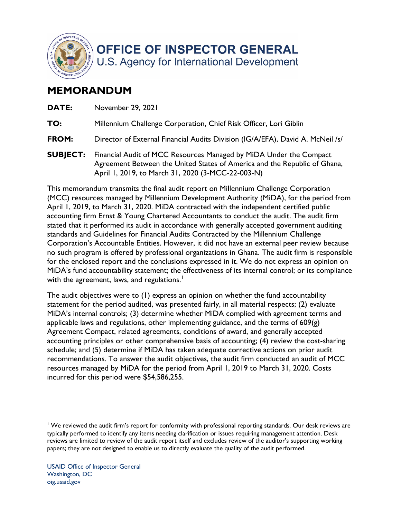

**OFFICE OF INSPECTOR GENERAL** U.S. Agency for International Development

## **MEMORANDUM**

| DATE:           | November 29, 2021                                                                                                                                                                                    |
|-----------------|------------------------------------------------------------------------------------------------------------------------------------------------------------------------------------------------------|
| TO:             | Millennium Challenge Corporation, Chief Risk Officer, Lori Giblin                                                                                                                                    |
| <b>FROM:</b>    | Director of External Financial Audits Division (IG/A/EFA), David A. McNeil /s/                                                                                                                       |
| <b>SUBJECT:</b> | Financial Audit of MCC Resources Managed by MiDA Under the Compact<br>Agreement Between the United States of America and the Republic of Ghana,<br>April 1, 2019, to March 31, 2020 (3-MCC-22-003-N) |

 accounting firm Ernst & Young Chartered Accountants to conduct the audit. The audit firm stated that it performed its audit in accordance with generally accepted government auditing for the enclosed report and the conclusions expressed in it. We do not express an opinion on This memorandum transmits the final audit report on Millennium Challenge Corporation (MCC) resources managed by Millennium Development Authority (MiDA), for the period from April 1, 2019, to March 31, 2020. MiDA contracted with the independent certified public standards and Guidelines for Financial Audits Contracted by the Millennium Challenge Corporation's Accountable Entities. However, it did not have an external peer review because no such program is offered by professional organizations in Ghana. The audit firm is responsible MiDA's fund accountability statement; the effectiveness of its internal control; or its compliance with the agreement, laws, and regulations.<sup>1</sup>

 accounting principles or other comprehensive basis of accounting; (4) review the cost-sharing The audit objectives were to (1) express an opinion on whether the fund accountability statement for the period audited, was presented fairly, in all material respects; (2) evaluate MiDA's internal controls; (3) determine whether MiDA complied with agreement terms and applicable laws and regulations, other implementing guidance, and the terms of  $609(g)$ Agreement Compact, related agreements, conditions of award, and generally accepted schedule; and (5) determine if MiDA has taken adequate corrective actions on prior audit recommendations. To answer the audit objectives, the audit firm conducted an audit of MCC resources managed by MiDA for the period from April 1, 2019 to March 31, 2020. Costs incurred for this period were \$54,586,255.

<sup>&</sup>lt;sup>1</sup> We reviewed the audit firm's report for conformity with professional reporting standards. Our desk reviews are typically performed to identify any items needing clarification or issues requiring management attention. Desk reviews are limited to review of the audit report itself and excludes review of the auditor's supporting working papers; they are not designed to enable us to directly evaluate the quality of the audit performed.